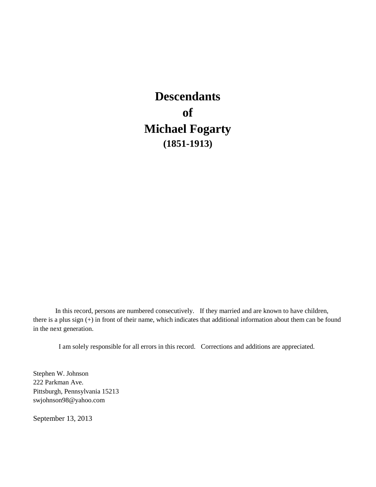# **Descendants of Michael Fogarty (1851-1913)**

In this record, persons are numbered consecutively. If they married and are known to have children, there is a plus sign (+) in front of their name, which indicates that additional information about them can be found in the next generation.

I am solely responsible for all errors in this record. Corrections and additions are appreciated.

Stephen W. Johnson 222 Parkman Ave. Pittsburgh, Pennsylvania 15213 swjohnson98@yahoo.com

September 13, 2013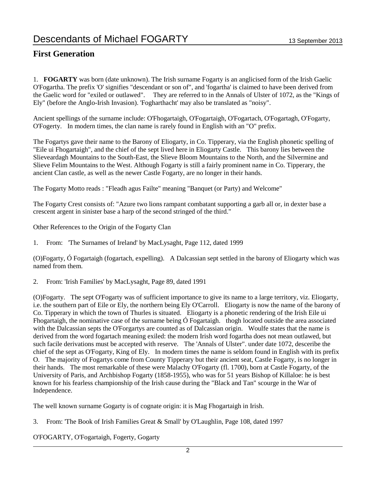### **First Generation**

1. **FOGARTY** was born (date unknown). The Irish surname Fogarty is an anglicised form of the Irish Gaelic O'Fogartha. The prefix 'O' signifies "descendant or son of", and 'fogartha' is claimed to have been derived from the Gaelic word for "exiled or outlawed". They are referred to in the Annals of Ulster of 1072, as the "Kings of Ely" (before the Anglo-Irish Invasion). 'Fogharthacht' may also be translated as "noisy".

Ancient spellings of the surname include: O'Fhogartaigh, O'Fogartaigh, O'Fogartach, O'Fogartagh, O'Fogarty, O'Fogerty. In modern times, the clan name is rarely found in English with an "O" prefix.

The Fogartys gave their name to the Barony of Eliogarty, in Co. Tipperary, via the English phonetic spelling of "Eile ui Fhogartaigh", and the chief of the sept lived here in Eliogarty Castle. This barony lies between the Slieveardagh Mountains to the South-East, the Slieve Bloom Mountains to the North, and the Silvermine and Slieve Felim Mountains to the West. Although Fogarty is still a fairly prominent name in Co. Tipperary, the ancient Clan castle, as well as the newer Castle Fogarty, are no longer in their hands.

The Fogarty Motto reads : "Fleadh agus Failte" meaning "Banquet (or Party) and Welcome"

The Fogarty Crest consists of: "Azure two lions rampant combatant supporting a garb all or, in dexter base a crescent argent in sinister base a harp of the second stringed of the third."

Other References to the Origin of the Fogarty Clan

1. From: 'The Surnames of Ireland' by MacLysaght, Page 112, dated 1999

(O)Fogarty, Ó Fogartaigh (fogartach, expelling). A Dalcassian sept settled in the barony of Eliogarty which was named from them.

2. From: 'Irish Families' by MacLysaght, Page 89, dated 1991

(O)Fogarty. The sept O'Fogarty was of sufficient importance to give its name to a large territory, viz. Eliogarty, i.e. the southern part of Eile or Ely, the northern being Ely O'Carroll. Eliogarty is now the name of the barony of Co. Tipperary in which the town of Thurles is situated. Eliogarty is a phonetic rendering of the Irish Eile ui Fhogartaigh, the nominative case of the surname being Ó Fogartaigh. thogh located outside the area associated with the Dalcassian septs the O'Forgartys are counted as of Dalcassian origin. Woulfe states that the name is derived from the word fogartach meaning exiled: the modern Irish word fogartha does not mean outlawed, but such facile derivations must be accepted with reserve. The 'Annals of Ulster". under date 1072, desceribe the chief of the sept as O'Fogarty, King of Ely. In modern times the name is seldom found in English with its prefix O. The majority of Fogartys come from County Tipperary but their ancient seat, Castle Fogarty, is no longer in their hands. The most remarkable of these were Malachy O'Fogarty (fl. 1700), born at Castle Fogarty, of the University of Paris, and Archbishop Fogarty (1858-1955), who was for 51 years Bishop of Killaloe: he is best known for his fearless championship of the Irish cause during the "Black and Tan" scourge in the War of Independence.

The well known surname Gogarty is of cognate origin: it is Mag Fhogartaigh in Irish.

3. From: 'The Book of Irish Families Great & Small' by O'Laughlin, Page 108, dated 1997

O'FOGARTY, O'Fogartaigh, Fogerty, Gogarty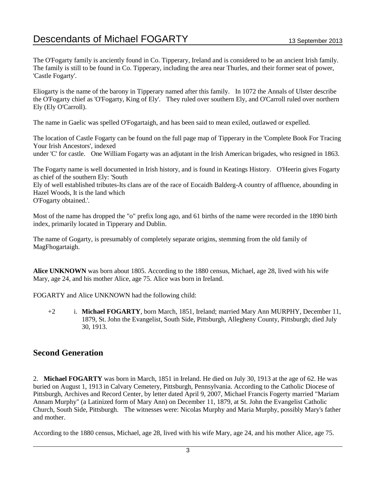The O'Fogarty family is anciently found in Co. Tipperary, Ireland and is considered to be an ancient Irish family. The family is still to be found in Co. Tipperary, including the area near Thurles, and their former seat of power, 'Castle Fogarty'.

Eliogarty is the name of the barony in Tipperary named after this family. In 1072 the Annals of Ulster describe the O'Fogarty chief as 'O'Fogarty, King of Ely'. They ruled over southern Ely, and O'Carroll ruled over northern Ely (Ely O'Carroll).

The name in Gaelic was spelled O'Fogartaigh, and has been said to mean exiled, outlawed or expelled.

The location of Castle Fogarty can be found on the full page map of Tipperary in the 'Complete Book For Tracing Your Irish Ancestors', indexed

under 'C' for castle. One William Fogarty was an adjutant in the Irish American brigades, who resigned in 1863.

The Fogarty name is well documented in Irish history, and is found in Keatings History. O'Heerin gives Fogarty as chief of the southern Ely: 'South

Ely of well established tributes-Its clans are of the race of Eocaidh Balderg-A country of affluence, abounding in Hazel Woods, It is the land which

O'Fogarty obtained.'.

Most of the name has dropped the "o" prefix long ago, and 61 births of the name were recorded in the 1890 birth index, primarily located in Tipperary and Dublin.

The name of Gogarty, is presumably of completely separate origins, stemming from the old family of MagFhogartaigh.

**Alice UNKNOWN** was born about 1805. According to the 1880 census, Michael, age 28, lived with his wife Mary, age 24, and his mother Alice, age 75. Alice was born in Ireland.

FOGARTY and Alice UNKNOWN had the following child:

+2 i. **Michael FOGARTY**, born March, 1851, Ireland; married Mary Ann MURPHY, December 11, 1879, St. John the Evangelist, South Side, Pittsburgh, Allegheny County, Pittsburgh; died July 30, 1913.

### **Second Generation**

2. **Michael FOGARTY** was born in March, 1851 in Ireland. He died on July 30, 1913 at the age of 62. He was buried on August 1, 1913 in Calvary Cemetery, Pittsburgh, Pennsylvania. According to the Catholic Diocese of Pittsburgh, Archives and Record Center, by letter dated April 9, 2007, Michael Francis Fogerty married "Mariam Annam Murphy" (a Latinized form of Mary Ann) on December 11, 1879, at St. John the Evangelist Catholic Church, South Side, Pittsburgh. The witnesses were: Nicolas Murphy and Maria Murphy, possibly Mary's father and mother.

According to the 1880 census, Michael, age 28, lived with his wife Mary, age 24, and his mother Alice, age 75.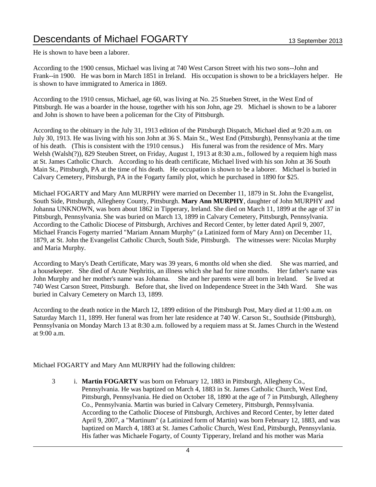He is shown to have been a laborer.

According to the 1900 census, Michael was living at 740 West Carson Street with his two sons--John and Frank--in 1900. He was born in March 1851 in Ireland. His occupation is shown to be a bricklayers helper. He is shown to have immigrated to America in 1869.

According to the 1910 census, Michael, age 60, was living at No. 25 Stueben Street, in the West End of Pittsburgh. He was a boarder in the house, together with his son John, age 29. Michael is shown to be a laborer and John is shown to have been a policeman for the City of Pittsburgh.

According to the obituary in the July 31, 1913 edition of the Pittsburgh Dispatch, Michael died at 9:20 a.m. on July 30, 1913. He was living with his son John at 36 S. Main St., West End (Pittsburgh), Pennsylvania at the time of his death. (This is consistent with the 1910 census.) His funeral was from the residence of Mrs. Mary Welsh (Walsh(?)), 829 Steuben Street, on Friday, August 1, 1913 at 8:30 a.m., followed by a requiem high mass at St. James Catholic Church. According to his death certificate, Michael lived with his son John at 36 South Main St., Pittsburgh, PA at the time of his death. He occupation is shown to be a laborer. Michael is buried in Calvary Cemetery, Pittsburgh, PA in the Fogarty family plot, which he purchased in 1890 for \$25.

Michael FOGARTY and Mary Ann MURPHY were married on December 11, 1879 in St. John the Evangelist, South Side, Pittsburgh, Allegheny County, Pittsburgh. **Mary Ann MURPHY**, daughter of John MURPHY and Johanna UNKNOWN, was born about 1862 in Tipperary, Ireland. She died on March 11, 1899 at the age of 37 in Pittsburgh, Pennsylvania. She was buried on March 13, 1899 in Calvary Cemetery, Pittsburgh, Pennsylvania. According to the Catholic Diocese of Pittsburgh, Archives and Record Center, by letter dated April 9, 2007, Michael Francis Fogerty married "Mariam Annam Murphy" (a Latinized form of Mary Ann) on December 11, 1879, at St. John the Evangelist Catholic Church, South Side, Pittsburgh. The witnesses were: Nicolas Murphy and Maria Murphy.

According to Mary's Death Certificate, Mary was 39 years, 6 months old when she died. She was married, and a housekeeper. She died of Acute Nephritis, an illness which she had for nine months. Her father's name was John Murphy and her mother's name was Johanna. She and her parents were all born in Ireland. Se lived at 740 West Carson Street, Pittsburgh. Before that, she lived on Independence Street in the 34th Ward. She was buried in Calvary Cemetery on March 13, 1899.

According to the death notice in the March 12, 1899 edition of the Pittsburgh Post, Mary died at 11:00 a.m. on Saturday March 11, 1899. Her funeral was from her late residence at 740 W. Carson St., Southside (Pittsburgh), Pennsylvania on Monday March 13 at 8:30 a.m. followed by a requiem mass at St. James Church in the Westend at 9:00 a.m.

Michael FOGARTY and Mary Ann MURPHY had the following children:

3 i. **Martin FOGARTY** was born on February 12, 1883 in Pittsburgh, Allegheny Co., Pennsylvania. He was baptized on March 4, 1883 in St. James Catholic Church, West End, Pittsburgh, Pennsylvania. He died on October 18, 1890 at the age of 7 in Pittsburgh, Allegheny Co., Pennsylvania. Martin was buried in Calvary Cemetery, Pittsburgh, Pennsylvania. According to the Catholic Diocese of Pittsburgh, Archives and Record Center, by letter dated April 9, 2007, a "Martinum" (a Latinized form of Martin) was born February 12, 1883, and was baptized on March 4, 1883 at St. James Catholic Church, West End, Pittsburgh, Pennsyvlania. His father was Michaele Fogarty, of County Tipperary, Ireland and his mother was Maria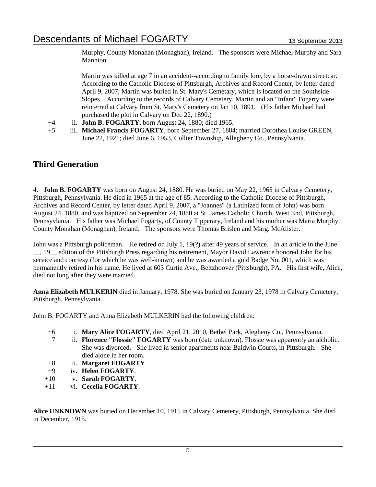Murphy, County Monahan (Monaghan), Ireland. The sponsors were Michael Murphy and Sara Mannion.

Martin was killed at age 7 in an accident--according to family lore, by a horse-drawn streetcar. According to the Catholic Diocese of Pittsburgh, Archives and Record Center, by letter dated April 9, 2007, Martin was buried in St. Mary's Cemetary, which is located on the Southside Slopes. According to the records of Calvary Cemetery, Martin and an "Infant" Fogarty were reinterred at Calvary from St. Mary's Cemetery on Jan 10, 1891. (His father Michael had purchased the plot in Calvary on Dec 22, 1890.)

- +4 ii. **John B. FOGARTY**, born August 24, 1880; died 1965.
- +5 iii. **Michael Francis FOGARTY**, born September 27, 1884; married Dorothea Louise GREEN, June 22, 1921; died June 6, 1953, Collier Township, Allegheny Co., Pennsylvania.

### **Third Generation**

4. **John B. FOGARTY** was born on August 24, 1880. He was buried on May 22, 1965 in Calvary Cemetery, Pittsburgh, Pennsylvania. He died in 1965 at the age of 85. According to the Catholic Diocese of Pittsburgh, Archives and Record Center, by letter dated April 9, 2007, a "Joannes" (a Latinized form of John) was born August 24, 1880, and was baptized on September 24, 1880 at St. James Catholic Church, West End, Pittsburgh, Pennsyvlania. His father was Michael Fogarty, of County Tipperary, Ireland and his mother was Maria Murphy, County Monahan (Monaghan), Ireland. The sponsors were Thomas Brislen and Marg. McAlister.

John was a Pittsburgh policeman. He retired on July 1, 19(?) after 49 years of service. In an article in the June \_\_, 19\_\_ edition of the Pittsburgh Press regarding his retirement, Mayor David Lawrence honored John for his service and courtesy (for which he was well-known) and he was awarded a gold Badge No. 001, which was permanently retired in his name. He lived at 603 Curtin Ave., Beltzhoover (Pittsburgh), PA. His first wife, Alice, died not long after they were married.

**Anna Elizabeth MULKERIN** died in January, 1978. She was buried on January 23, 1978 in Calvary Cemetery, Pittsburgh, Pennsylvania.

John B. FOGARTY and Anna Elizabeth MULKERIN had the following children:

- +6 i. **Mary Alice FOGARTY**, died April 21, 2010, Bethel Park, Alegheny Co., Pennsylvania.
- 7 ii. **Florence "Flossie" FOGARTY** was born (date unknown). Flossie was apparently an alcholic. She was divorced. She lived in senior apartments near Baldwin Courts, in Pittsburgh. She died alone in her room.
- +8 iii. **Margaret FOGARTY**.
- +9 iv. **Helen FOGARTY**.
- +10 v. **Sarah FOGARTY**.
- +11 vi. **Cecelia FOGARTY**.

**Alice UNKNOWN** was buried on December 10, 1915 in Calvary Cemetery, Pittsburgh, Pennsylvania. She died in December, 1915.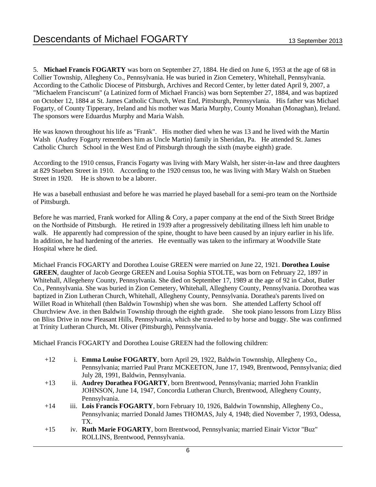5. **Michael Francis FOGARTY** was born on September 27, 1884. He died on June 6, 1953 at the age of 68 in Collier Township, Allegheny Co., Pennsylvania. He was buried in Zion Cemetery, Whitehall, Pennsylvania. According to the Catholic Diocese of Pittsburgh, Archives and Record Center, by letter dated April 9, 2007, a "Michaelem Franciscum" (a Latinized form of Michael Francis) was born September 27, 1884, and was baptized on October 12, 1884 at St. James Catholic Church, West End, Pittsburgh, Pennsyvlania. His father was Michael Fogarty, of County Tipperary, Ireland and his mother was Maria Murphy, County Monahan (Monaghan), Ireland. The sponsors were Eduardus Murphy and Maria Walsh.

He was known throughout his life as "Frank". His mother died when he was 13 and he lived with the Martin Walsh (Audrey Fogarty remembers him as Uncle Martin) family in Sheridan, Pa. He attended St. James Catholic Church School in the West End of Pittsburgh through the sixth (maybe eighth) grade.

According to the 1910 census, Francis Fogarty was living with Mary Walsh, her sister-in-law and three daughters at 829 Stueben Street in 1910. According to the 1920 census too, he was living with Mary Walsh on Stueben Street in 1920. He is shown to be a laborer.

He was a baseball enthusiast and before he was married he played baseball for a semi-pro team on the Northside of Pittsburgh.

Before he was married, Frank worked for Alling & Cory, a paper company at the end of the Sixth Street Bridge on the Northside of Pittsburgh. He retired in 1939 after a progressively debilitating illness left him unable to walk. He apparently had compression of the spine, thought to have been caused by an injury earlier in his life. In addition, he had hardening of the arteries. He eventually was taken to the infirmary at Woodville State Hospital where he died.

Michael Francis FOGARTY and Dorothea Louise GREEN were married on June 22, 1921. **Dorothea Louise GREEN**, daughter of Jacob George GREEN and Louisa Sophia STOLTE, was born on February 22, 1897 in Whitehall, Allegeheny County, Pennsylvania. She died on September 17, 1989 at the age of 92 in Cabot, Butler Co., Pennsylvania. She was buried in Zion Cemetery, Whitehall, Allegheny County, Pennsylvania. Dorothea was baptized in Zion Lutheran Church, Whitehall, Allegheny County, Pennsylvania. Dorathea's parents lived on Willet Road in Whitehall (then Baldwin Township) when she was born. She attended Lafferty School off Churchview Ave. in then Baldwin Township through the eighth grade. She took piano lessons from Lizzy Bliss on Bliss Drive in now Pleasant Hills, Pennsylvania, which she traveled to by horse and buggy. She was confirmed at Trinity Lutheran Church, Mt. Oliver (Pittsburgh), Pennsylvania.

Michael Francis FOGARTY and Dorothea Louise GREEN had the following children:

- +12 i. **Emma Louise FOGARTY**, born April 29, 1922, Baldwin Townnship, Allegheny Co., Pennsylvania; married Paul Pranz MCKEETON, June 17, 1949, Brentwood, Pennsylvania; died July 28, 1991, Baldwin, Pennsylvania.
- +13 ii. **Audrey Dorathea FOGARTY**, born Brentwood, Pennsylvania; married John Franklin JOHNSON, June 14, 1947, Concordia Lutheran Church, Brentwood, Allegheny County, Pennsylvania.
- +14 iii. **Lois Francis FOGARTY**, born February 10, 1926, Baldwin Townnship, Allegheny Co., Pennsylvania; married Donald James THOMAS, July 4, 1948; died November 7, 1993, Odessa, TX.
- +15 iv. **Ruth Marie FOGARTY**, born Brentwood, Pennsylvania; married Einair Victor "Buz" ROLLINS, Brentwood, Pennsylvania.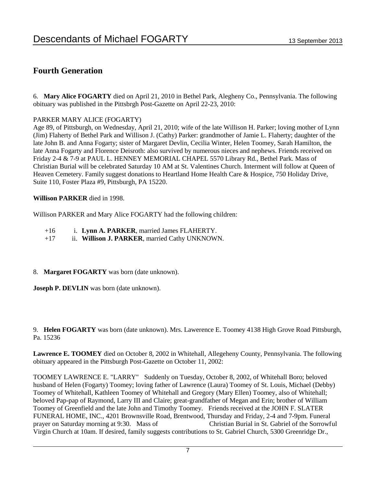### **Fourth Generation**

6. **Mary Alice FOGARTY** died on April 21, 2010 in Bethel Park, Alegheny Co., Pennsylvania. The following obituary was published in the Pittsbrgh Post-Gazette on April 22-23, 2010:

#### PARKER MARY ALICE (FOGARTY)

Age 89, of Pittsburgh, on Wednesday, April 21, 2010; wife of the late Willison H. Parker; loving mother of Lynn (Jim) Flaherty of Bethel Park and Willison J. (Cathy) Parker: grandmother of Jamie L. Flaherty; daughter of the late John B. and Anna Fogarty; sister of Margaret Devlin, Cecilia Winter, Helen Toomey, Sarah Hamilton, the late Anna Fogarty and Florence Deisroth: also survived by numerous nieces and nephews. Friends received on Friday 2-4 & 7-9 at PAUL L. HENNEY MEMORIAL CHAPEL 5570 Library Rd., Bethel Park. Mass of Christian Burial will be celebrated Saturday 10 AM at St. Valentines Church. Interment will follow at Queen of Heaven Cemetery. Family suggest donations to Heartland Home Health Care & Hospice, 750 Holiday Drive, Suite 110, Foster Plaza #9, Pittsburgh, PA 15220.

#### **Willison PARKER** died in 1998.

Willison PARKER and Mary Alice FOGARTY had the following children:

- +16 i. **Lynn A. PARKER**, married James FLAHERTY.
- +17 ii. **Willison J. PARKER**, married Cathy UNKNOWN.

#### 8. **Margaret FOGARTY** was born (date unknown).

**Joseph P. DEVLIN** was born (date unknown).

9. **Helen FOGARTY** was born (date unknown). Mrs. Lawerence E. Toomey 4138 High Grove Road Pittsburgh, Pa. 15236

**Lawrence E. TOOMEY** died on October 8, 2002 in Whitehall, Allegeheny County, Pennsylvania. The following obituary appeared in the Pittsburgh Post-Gazette on October 11, 2002:

TOOMEY LAWRENCE E. "LARRY" Suddenly on Tuesday, October 8, 2002, of Whitehall Boro; beloved husband of Helen (Fogarty) Toomey; loving father of Lawrence (Laura) Toomey of St. Louis, Michael (Debby) Toomey of Whitehall, Kathleen Toomey of Whitehall and Gregory (Mary Ellen) Toomey, also of Whitehall; beloved Pap-pap of Raymond, Larry III and Claire; great-grandfather of Megan and Erin; brother of William Toomey of Greenfield and the late John and Timothy Toomey. Friends received at the JOHN F. SLATER FUNERAL HOME, INC., 4201 Brownsville Road, Brentwood, Thursday and Friday, 2-4 and 7-9pm. Funeral prayer on Saturday morning at 9:30. Mass of Christian Burial in St. Gabriel of the Sorrowful Virgin Church at 10am. If desired, family suggests contributions to St. Gabriel Church, 5300 Greenridge Dr.,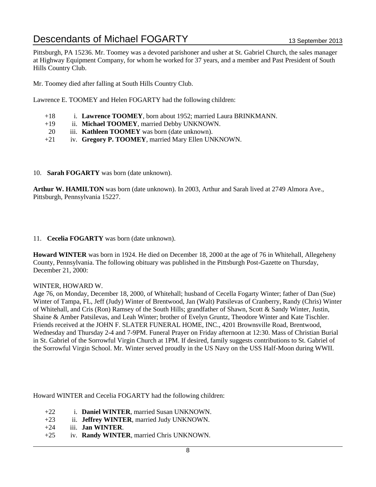Pittsburgh, PA 15236. Mr. Toomey was a devoted parishoner and usher at St. Gabriel Church, the sales manager at Highway Equipment Company, for whom he worked for 37 years, and a member and Past President of South Hills Country Club.

Mr. Toomey died after falling at South Hills Country Club.

Lawrence E. TOOMEY and Helen FOGARTY had the following children:

- +18 i. **Lawrence TOOMEY**, born about 1952; married Laura BRINKMANN.
- +19 ii. **Michael TOOMEY**, married Debby UNKNOWN.
- 20 iii. **Kathleen TOOMEY** was born (date unknown).
- +21 iv. **Gregory P. TOOMEY**, married Mary Ellen UNKNOWN.

#### 10. **Sarah FOGARTY** was born (date unknown).

**Arthur W. HAMILTON** was born (date unknown). In 2003, Arthur and Sarah lived at 2749 Almora Ave., Pittsburgh, Pennsylvania 15227.

#### 11. **Cecelia FOGARTY** was born (date unknown).

**Howard WINTER** was born in 1924. He died on December 18, 2000 at the age of 76 in Whitehall, Allegeheny County, Pennsylvania. The following obituary was published in the Pittsburgh Post-Gazette on Thursday, December 21, 2000:

#### WINTER, HOWARD W.

Age 76, on Monday, December 18, 2000, of Whitehall; husband of Cecella Fogarty Winter; father of Dan (Sue) Winter of Tampa, FL, Jeff (Judy) Winter of Brentwood, Jan (Walt) Patsilevas of Cranberry, Randy (Chris) Winter of Whitehall, and Cris (Ron) Ramsey of the South Hills; grandfather of Shawn, Scott & Sandy Winter, Justin, Shaine & Amber Patsilevas, and Leah Winter; brother of Evelyn Gruntz, Theodore Winter and Kate Tischler. Friends received at the JOHN F. SLATER FUNERAL HOME, INC., 4201 Brownsville Road, Brentwood, Wednesday and Thursday 2-4 and 7-9PM. Funeral Prayer on Friday afternoon at 12:30. Mass of Christian Burial in St. Gabriel of the Sorrowful Virgin Church at 1PM. If desired, family suggests contributions to St. Gabriel of the Sorrowful Virgin School. Mr. Winter served proudly in the US Navy on the USS Half-Moon during WWII.

Howard WINTER and Cecelia FOGARTY had the following children:

- +22 i. **Daniel WINTER**, married Susan UNKNOWN.
- +23 ii. **Jeffrey WINTER**, married Judy UNKNOWN.
- +24 iii. **Jan WINTER**.
- +25 iv. **Randy WINTER**, married Chris UNKNOWN.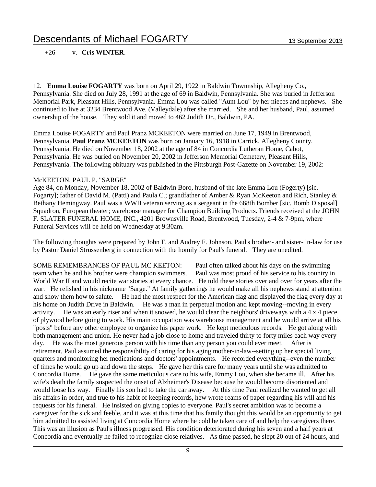#### +26 v. **Cris WINTER**.

12. **Emma Louise FOGARTY** was born on April 29, 1922 in Baldwin Townnship, Allegheny Co., Pennsylvania. She died on July 28, 1991 at the age of 69 in Baldwin, Pennsylvania. She was buried in Jefferson Memorial Park, Pleasant Hills, Pennsylvania. Emma Lou was called "Aunt Lou" by her nieces and nephews. She continued to live at 3234 Brentwood Ave. (Valleydale) after she married. She and her husband, Paul, assumed ownership of the house. They sold it and moved to 462 Judith Dr., Baldwin, PA.

Emma Louise FOGARTY and Paul Pranz MCKEETON were married on June 17, 1949 in Brentwood, Pennsylvania. **Paul Pranz MCKEETON** was born on January 16, 1918 in Carrick, Allegheny County, Pennsylvania. He died on November 18, 2002 at the age of 84 in Concordia Lutheran Home, Cabot, Pennsylvania. He was buried on November 20, 2002 in Jefferson Memorial Cemetery, Pleasant Hills, Pennsylvania. The following obituary was published in the Pittsburgh Post-Gazette on November 19, 2002:

#### McKEETON, PAUL P. "SARGE"

Age 84, on Monday, November 18, 2002 of Baldwin Boro, husband of the late Emma Lou (Fogerty) [sic. Fogarty]; father of David M. (Patti) and Paula C.; grandfather of Amber & Ryan McKeeton and Rich, Stanley & Bethany Hemingway. Paul was a WWII veteran serving as a sergeant in the 668th Bomber [sic. Bomb Disposal] Squadron, European theater; warehouse manager for Champion Building Products. Friends received at the JOHN F. SLATER FUNERAL HOME, INC., 4201 Brownsville Road, Brentwood, Tuesday, 2-4 & 7-9pm, where Funeral Services will be held on Wednesday at 9:30am.

The following thoughts were prepared by John F. and Audrey F. Johnson, Paul's brother- and sister- in-law for use by Pastor Daniel Strussenberg in connection with the homily for Paul's funeral. They are unedited.

SOME REMEMBRANCES OF PAUL MC KEETON: Paul often talked about his days on the swimming team when he and his brother were champion swimmers. Paul was most proud of his service to his country in World War II and would recite war stories at every chance. He told these stories over and over for years after the war. He relished in his nickname "Sarge." At family gatherings he would make all his nephews stand at attention and show them how to salute. He had the most respect for the American flag and displayed the flag every day at his home on Judith Drive in Baldwin. He was a man in perpetual motion and kept moving--moving in every activity. He was an early riser and when it snowed, he would clear the neighbors' driveways with a 4 x 4 piece of plywood before going to work. His main occupation was warehouse management and he would arrive at all his "posts" before any other employee to organize his paper work. He kept meticulous records. He got along with both management and union. He never had a job close to home and traveled thirty to forty miles each way every day. He was the most generous person with his time than any person you could ever meet. After is retirement, Paul assumed the responsibility of caring for his aging mother-in-law--setting up her special living quarters and monitoring her medications and doctors' appointments. He recorded everything--even the number of times he would go up and down the steps. He gave her this care for many years until she was admitted to Concordia Home. He gave the same meticulous care to his wife, Emmy Lou, when she became ill. After his wife's death the family suspected the onset of Alzheimer's Disease because he would become disoriented and would loose his way. Finally his son had to take the car away. At this time Paul realized he wanted to get all his affairs in order, and true to his habit of keeping records, hew wrote reams of paper regarding his will and his requests for his funeral. He insisted on giving copies to everyone. Paul's secret ambition was to become a caregiver for the sick and feeble, and it was at this time that his family thought this would be an opportunity to get him admitted to assisted living at Concordia Home where he cold be taken care of and help the caregivers there. This was an illusion as Paul's illness progressed. His condition deteriorated during his seven and a half years at Concordia and eventually he failed to recognize close relatives. As time passed, he slept 20 out of 24 hours, and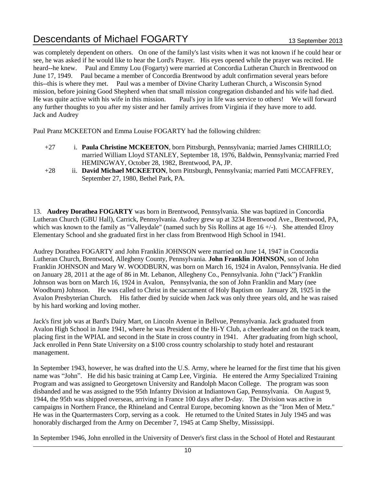was completely dependent on others. On one of the family's last visits when it was not known if he could hear or see, he was asked if he would like to hear the Lord's Prayer. His eyes opened while the prayer was recited. He heard--he knew. Paul and Emmy Lou (Fogarty) were married at Concordia Lutheran Church in Brentwood on June 17, 1949. Paul became a member of Concordia Brentwood by adult confirmation several years before this--this is where they met. Paul was a member of Divine Charity Lutheran Church, a Wisconsin Synod mission, before joining Good Shepherd when that small mission congregation disbanded and his wife had died. He was quite active with his wife in this mission. Paul's joy in life was service to others! We will forward any further thoughts to you after my sister and her family arrives from Virginia if they have more to add. Jack and Audrey

Paul Pranz MCKEETON and Emma Louise FOGARTY had the following children:

- +27 i. **Paula Christine MCKEETON**, born Pittsburgh, Pennsylvania; married James CHIRILLO; married William Lloyd STANLEY, September 18, 1976, Baldwin, Pennsylvania; married Fred HEMINGWAY, October 28, 1982, Brentwood, PA, JP.
- +28 ii. **David Michael MCKEETON**, born Pittsburgh, Pennsylvania; married Patti MCCAFFREY, September 27, 1980, Bethel Park, PA.

13. **Audrey Dorathea FOGARTY** was born in Brentwood, Pennsylvania. She was baptized in Concordia Lutheran Church (GBU Hall), Carrick, Pennsylvania. Audrey grew up at 3234 Brentwood Ave., Brentwood, PA, which was known to the family as "Valleydale" (named such by Sis Rollins at age 16 +/-). She attended Elroy Elementary School and she graduated first in her class from Brentwood High School in 1941.

Audrey Dorathea FOGARTY and John Franklin JOHNSON were married on June 14, 1947 in Concordia Lutheran Church, Brentwood, Allegheny County, Pennsylvania. **John Franklin JOHNSON**, son of John Franklin JOHNSON and Mary W. WOODBURN, was born on March 16, 1924 in Avalon, Pennsylvania. He died on January 28, 2011 at the age of 86 in Mt. Lebanon, Allegheny Co., Pennsylvania. John ("Jack") Franklin Johnson was born on March 16, 1924 in Avalon, Pennsylvania, the son of John Franklin and Mary (nee Woodburn) Johnson. He was called to Christ in the sacrament of Holy Baptism on January 28, 1925 in the Avalon Presbyterian Church. His father died by suicide when Jack was only three years old, and he was raised by his hard working and loving mother.

Jack's first job was at Bard's Dairy Mart, on Lincoln Avenue in Bellvue, Pennsylvania. Jack graduated from Avalon High School in June 1941, where he was President of the Hi-Y Club, a cheerleader and on the track team, placing first in the WPIAL and second in the State in cross country in 1941. After graduating from high school, Jack enrolled in Penn State University on a \$100 cross country scholarship to study hotel and restaurant management.

In September 1943, however, he was drafted into the U.S. Army, where he learned for the first time that his given name was "John". He did his basic training at Camp Lee, Virginia. He entered the Army Specialized Training Program and was assigned to Georgetown University and Randolph Macon College. The program was soon disbanded and he was assigned to the 95th Infantry Division at Indiantown Gap, Pennsylvania. On August 9, 1944, the 95th was shipped overseas, arriving in France 100 days after D-day. The Division was active in campaigns in Northern France, the Rhineland and Central Europe, becoming known as the "Iron Men of Metz." He was in the Quartermasters Corp, serving as a cook. He returned to the United States in July 1945 and was honorably discharged from the Army on December 7, 1945 at Camp Shelby, Mississippi.

In September 1946, John enrolled in the University of Denver's first class in the School of Hotel and Restaurant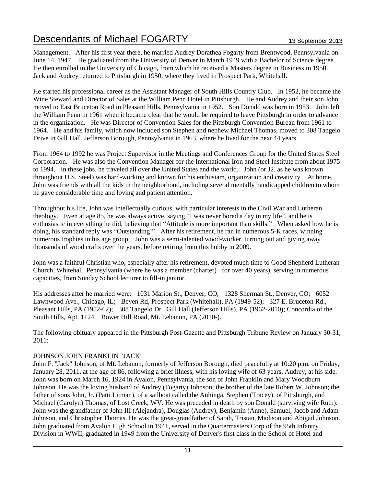Management. After his first year there, he married Audrey Dorathea Fogarty from Brentwood, Pennsylvania on June 14, 1947. He graduated from the University of Denver in March 1949 with a Bachelor of Science degree. He then enrolled in the University of Chicago, from which he received a Masters degree in Business in 1950. Jack and Audrey returned to Pittsburgh in 1950, where they lived in Prospect Park, Whitehall.

He started his professional career as the Assistant Manager of South Hills Country Club. In 1952, he became the Wine Steward and Director of Sales at the William Penn Hotel in Pittsburgh. He and Audrey and their son John moved to East Bruceton Road in Pleasant Hills, Pennsylvania in 1952. Son Donald was born in 1953. John left the William Penn in 1961 when it became clear that he would be required to leave Pittsburgh in order to advance in the organization. He was Director of Convention Sales for the Pittsburgh Convention Bureau from 1961 to 1964. He and his family, which now included son Stephen and nephew Michael Thomas, moved to 308 Tangelo Drive in Gill Hall, Jefferson Borough, Pennsylvania in 1963, where he lived for the next 44 years.

From 1964 to 1992 he was Project Supervisor in the Meetings and Conferences Group for the United States Steel Corporation. He was also the Convention Manager for the International Iron and Steel Institute from about 1975 to 1994. In these jobs, he traveled all over the United States and the world. John (or J2, as he was known throughout U.S. Steel) was hard-working and known for his enthusiam, organization and creativity. At home, John was friends with all the kids in the neighborhood, including several mentally handicapped children to whom he gave considerable time and loving and patient attention.

Throughout his life, John was intellectually curious, with particular interests in the Civil War and Lutheran theology. Even at age 85, he was always active, saying "I was never bored a day in my life", and he is enthusiastic in everything he did, believing that "Attitude is more important than skills." When asked how he is doing, his standard reply was "Outstanding!" After his retirement, he ran in numerous 5-K races, winning numerous trophies in his age group. John was a semi-talented wood-worker, turning out and giving away thousands of wood crafts over the years, before retiring from this hobby in 2009.

John was a faithful Christian who, especially after his retirement, devoted much time to Good Shepherd Lutheran Church, Whitehall, Pennsylvania (where he was a member (charter) for over 40 years), serving in numerous capacities, from Sunday School lecturer to fill-in janitor.

His addresses after he married were: 1031 Marion St., Denver, CO; 1328 Sherman St., Denver, CO; 6052 Lawnwood Ave., Chicago, IL; Beven Rd, Prospect Park (Whitehall), PA (1949-52); 327 E. Bruceton Rd., Pleasant Hills, PA (1952-62); 308 Tangelo Dr., Gill Hall (Jefferson Hills), PA (1962-2010); Concordia of the South Hills, Apt. 1124, Bower Hill Road, Mt. Lebanon, PA (2010-).

The following obituary appeared in the Pittsburgh Post-Gazette and Pittsburgh Tribune Review on January 30-31, 2011:

#### JOHNSON JOHN FRANKLIN "JACK"

John F. "Jack" Johnson, of Mt. Lebanon, formerly of Jefferson Borough, died peacefully at 10:20 p.m. on Friday, January 28, 2011, at the age of 86, following a brief illness, with his loving wife of 63 years, Audrey, at his side. John was born on March 16, 1924 in Avalon, Pennsylvania, the son of John Franklin and Mary Woodburn Johnson. He was the loving husband of Audrey (Fogarty) Johnson; the brother of the late Robert W. Johnson; the father of sons John, Jr. (Patti Litman), of a sailboat called the Anhinga, Stephen (Tracey), of Pittsburgh, and Michael (Carolyn) Thomas, of Lost Creek, WV. He was preceded in death by son Donald (surviving wife Ruth). John was the grandfather of John III (Alejandra), Douglas (Audrey), Benjamin (Anne), Samuel, Jacob and Adam Johnson, and Christopher Thomas. He was the great-grandfather of Sarah, Tristan, Madison and Abigail Johnson. John graduated from Avalon High School in 1941, served in the Quartermasters Corp of the 95th Infantry Division in WWII, graduated in 1949 from the University of Denver's first class in the School of Hotel and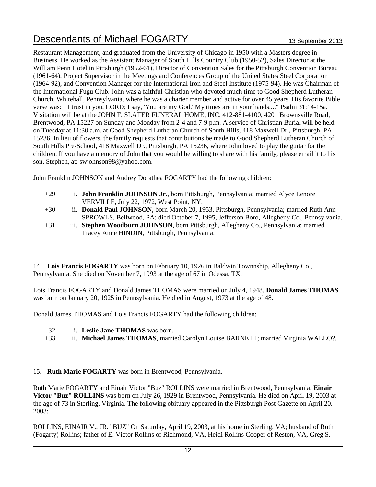Restaurant Management, and graduated from the University of Chicago in 1950 with a Masters degree in Business. He worked as the Assistant Manager of South Hills Country Club (1950-52), Sales Director at the William Penn Hotel in Pittsburgh (1952-61), Director of Convention Sales for the Pittsburgh Convention Bureau (1961-64), Project Supervisor in the Meetings and Conferences Group of the United States Steel Corporation (1964-92), and Convention Manager for the International Iron and Steel Institute (1975-94). He was Chairman of the International Fugu Club. John was a faithful Christian who devoted much time to Good Shepherd Lutheran Church, Whitehall, Pennsylvania, where he was a charter member and active for over 45 years. His favorite Bible verse was: " I trust in you, LORD; I say, 'You are my God.' My times are in your hands...." Psalm 31:14-15a. Visitation will be at the JOHN F. SLATER FUNERAL HOME, INC. 412-881-4100, 4201 Brownsville Road, Brentwood, PA 15227 on Sunday and Monday from 2-4 and 7-9 p.m. A service of Christian Burial will be held on Tuesday at 11:30 a.m. at Good Shepherd Lutheran Church of South Hills, 418 Maxwell Dr., Pittsburgh, PA 15236. In lieu of flowers, the family requests that contributions be made to Good Shepherd Lutheran Church of South Hills Pre-School, 418 Maxwell Dr., Pittsburgh, PA 15236, where John loved to play the guitar for the children. If you have a memory of John that you would be willing to share with his family, please email it to his son, Stephen, at: swjohnson98@yahoo.com.

John Franklin JOHNSON and Audrey Dorathea FOGARTY had the following children:

- +29 i. **John Franklin JOHNSON Jr.**, born Pittsburgh, Pennsylvania; married Alyce Lenore VERVILLE, July 22, 1972, West Point, NY.
- +30 ii. **Donald Paul JOHNSON**, born March 20, 1953, Pittsburgh, Pennsylvania; married Ruth Ann SPROWLS, Bellwood, PA; died October 7, 1995, Jefferson Boro, Allegheny Co., Pennsylvania.
- +31 iii. **Stephen Woodburn JOHNSON**, born Pittsburgh, Allegheny Co., Pennsylvania; married Tracey Anne HINDIN, Pittsburgh, Pennsylvania.

14. **Lois Francis FOGARTY** was born on February 10, 1926 in Baldwin Townnship, Allegheny Co., Pennsylvania. She died on November 7, 1993 at the age of 67 in Odessa, TX.

Lois Francis FOGARTY and Donald James THOMAS were married on July 4, 1948. **Donald James THOMAS** was born on January 20, 1925 in Pennsylvania. He died in August, 1973 at the age of 48.

Donald James THOMAS and Lois Francis FOGARTY had the following children:

- 32 i. **Leslie Jane THOMAS** was born.
- +33 ii. **Michael James THOMAS**, married Carolyn Louise BARNETT; married Virginia WALLO?.

#### 15. **Ruth Marie FOGARTY** was born in Brentwood, Pennsylvania.

Ruth Marie FOGARTY and Einair Victor "Buz" ROLLINS were married in Brentwood, Pennsylvania. **Einair Victor "Buz" ROLLINS** was born on July 26, 1929 in Brentwood, Pennsylvania. He died on April 19, 2003 at the age of 73 in Sterling, Virginia. The following obituary appeared in the Pittsburgh Post Gazette on April 20, 2003:

ROLLINS, EINAIR V., JR. "BUZ" On Saturday, April 19, 2003, at his home in Sterling, VA; husband of Ruth (Fogarty) Rollins; father of E. Victor Rollins of Richmond, VA, Heidi Rollins Cooper of Reston, VA, Greg S.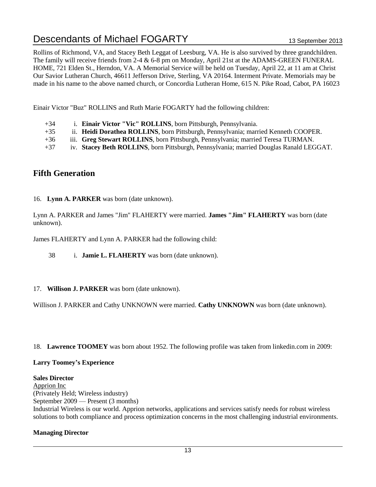Rollins of Richmond, VA, and Stacey Beth Leggat of Leesburg, VA. He is also survived by three grandchildren. The family will receive friends from 2-4 & 6-8 pm on Monday, April 21st at the ADAMS-GREEN FUNERAL HOME, 721 Elden St., Herndon, VA. A Memorial Service will be held on Tuesday, April 22, at 11 am at Christ Our Savior Lutheran Church, 46611 Jefferson Drive, Sterling, VA 20164. Interment Private. Memorials may be made in his name to the above named church, or Concordia Lutheran Home, 615 N. Pike Road, Cabot, PA 16023

Einair Victor "Buz" ROLLINS and Ruth Marie FOGARTY had the following children:

- +34 i. **Einair Victor "Vic" ROLLINS**, born Pittsburgh, Pennsylvania.
- +35 ii. **Heidi Dorathea ROLLINS**, born Pittsburgh, Pennsylvania; married Kenneth COOPER.
- +36 iii. **Greg Stewart ROLLINS**, born Pittsburgh, Pennsylvania; married Teresa TURMAN.
- +37 iv. **Stacey Beth ROLLINS**, born Pittsburgh, Pennsylvania; married Douglas Ranald LEGGAT.

### **Fifth Generation**

#### 16. **Lynn A. PARKER** was born (date unknown).

Lynn A. PARKER and James "Jim" FLAHERTY were married. **James "Jim" FLAHERTY** was born (date unknown).

James FLAHERTY and Lynn A. PARKER had the following child:

38 i. **Jamie L. FLAHERTY** was born (date unknown).

#### 17. **Willison J. PARKER** was born (date unknown).

Willison J. PARKER and Cathy UNKNOWN were married. **Cathy UNKNOWN** was born (date unknown).

18. **Lawrence TOOMEY** was born about 1952. The following profile was taken from linkedin.com in 2009:

#### **Larry Toomey's Experience**

#### **Sales Director**

Apprion Inc (Privately Held; Wireless industry) September 2009 — Present (3 months)

Industrial Wireless is our world. Apprion networks, applications and services satisfy needs for robust wireless solutions to both compliance and process optimization concerns in the most challenging industrial environments.

#### **Managing Director**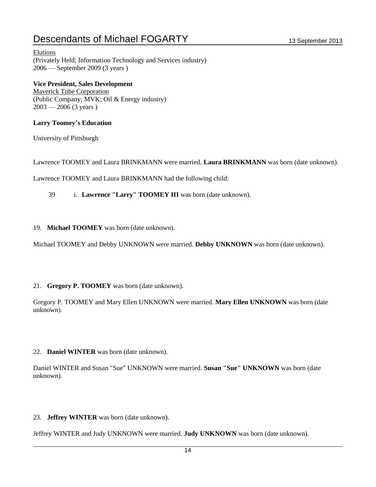Elutions (Privately Held; Information Technology and Services industry) 2006 — September 2009 (3 years )

**Vice President, Sales Development** 

Maverick Tube Corporation (Public Company; MVK; Oil & Energy industry)  $2003 - 2006$  (3 years)

#### **Larry Toomey's Education**

University of Pittsburgh

Lawrence TOOMEY and Laura BRINKMANN were married. **Laura BRINKMANN** was born (date unknown).

Lawrence TOOMEY and Laura BRINKMANN had the following child:

39 i. **Lawrence "Larry" TOOMEY III** was born (date unknown).

19. **Michael TOOMEY** was born (date unknown).

Michael TOOMEY and Debby UNKNOWN were married. **Debby UNKNOWN** was born (date unknown).

#### 21. **Gregory P. TOOMEY** was born (date unknown).

Gregory P. TOOMEY and Mary Ellen UNKNOWN were married. **Mary Ellen UNKNOWN** was born (date unknown).

22. **Daniel WINTER** was born (date unknown).

Daniel WINTER and Susan "Sue" UNKNOWN were married. **Susan "Sue" UNKNOWN** was born (date unknown).

23. **Jeffrey WINTER** was born (date unknown).

Jeffrey WINTER and Judy UNKNOWN were married. **Judy UNKNOWN** was born (date unknown).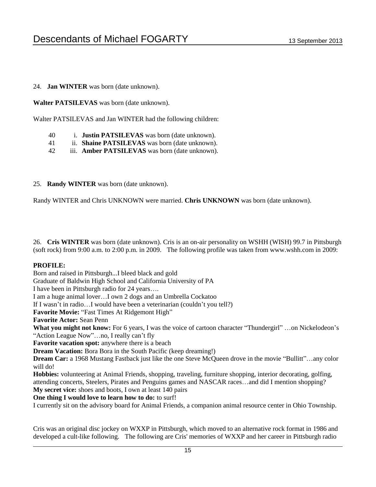#### 24. **Jan WINTER** was born (date unknown).

**Walter PATSILEVAS** was born (date unknown).

Walter PATSILEVAS and Jan WINTER had the following children:

- 40 i. **Justin PATSILEVAS** was born (date unknown).
- 41 ii. **Shaine PATSILEVAS** was born (date unknown).
- 42 iii. **Amber PATSILEVAS** was born (date unknown).

#### 25. **Randy WINTER** was born (date unknown).

Randy WINTER and Chris UNKNOWN were married. **Chris UNKNOWN** was born (date unknown).

26. **Cris WINTER** was born (date unknown). Cris is an on-air personality on WSHH (WISH) 99.7 in Pittsburgh (soft rock) from 9:00 a.m. to 2:00 p.m. in 2009. The following profile was taken from www.wshh.com in 2009:

#### **PROFILE:**

Born and raised in Pittsburgh...I bleed black and gold Graduate of Baldwin High School and California University of PA I have been in Pittsburgh radio for 24 years…. I am a huge animal lover…I own 2 dogs and an Umbrella Cockatoo If I wasn't in radio…I would have been a veterinarian (couldn't you tell?) **Favorite Movie:** "Fast Times At Ridgemont High" **Favorite Actor:** Sean Penn **What you might not know:** For 6 years, I was the voice of cartoon character "Thundergirl" …on Nickelodeon's "Action League Now"…no, I really can't fly **Favorite vacation spot:** anywhere there is a beach **Dream Vacation:** Bora Bora in the South Pacific (keep dreaming!) **Dream Car:** a 1968 Mustang Fastback just like the one Steve McQueen drove in the movie "Bullitt"…any color will do! **Hobbies:** volunteering at Animal Friends, shopping, traveling, furniture shopping, interior decorating, golfing, attending concerts, Steelers, Pirates and Penguins games and NASCAR races…and did I mention shopping? **My secret vice:** shoes and boots, I own at least 140 pairs **One thing I would love to learn how to do:** to surf! I currently sit on the advisory board for Animal Friends, a companion animal resource center in Ohio Township.

Cris was an original disc jockey on WXXP in Pittsburgh, which moved to an alternative rock format in 1986 and developed a cult-like following. The following are Cris' memories of WXXP and her career in Pittsburgh radio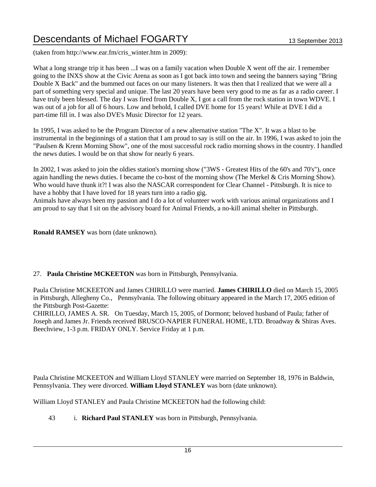(taken from http://www.ear.fm/cris\_winter.htm in 2009):

What a long strange trip it has been ...I was on a family vacation when Double X went off the air. I remember going to the INXS show at the Civic Arena as soon as I got back into town and seeing the banners saying "Bring Double X Back" and the bummed out faces on our many listeners. It was then that I realized that we were all a part of something very special and unique. The last 20 years have been very good to me as far as a radio career. I have truly been blessed. The day I was fired from Double X, I got a call from the rock station in town WDVE. I was out of a job for all of 6 hours. Low and behold, I called DVE home for 15 years! While at DVE I did a part-time fill in. I was also DVE's Music Director for 12 years.

In 1995, I was asked to be the Program Director of a new alternative station "The X". It was a blast to be instrumental in the beginnings of a station that I am proud to say is still on the air. In 1996, I was asked to join the "Paulsen & Krenn Morning Show", one of the most successful rock radio morning shows in the country. I handled the news duties. I would be on that show for nearly 6 years.

In 2002, I was asked to join the oldies station's morning show ("3WS - Greatest Hits of the 60's and 70's"), once again handling the news duties. I became the co-host of the morning show (The Merkel & Cris Morning Show). Who would have thunk it?! I was also the NASCAR correspondent for Clear Channel - Pittsburgh. It is nice to have a hobby that I have loved for 18 years turn into a radio gig.

Animals have always been my passion and I do a lot of volunteer work with various animal organizations and I am proud to say that I sit on the advisory board for Animal Friends, a no-kill animal shelter in Pittsburgh.

**Ronald RAMSEY** was born (date unknown).

#### 27. **Paula Christine MCKEETON** was born in Pittsburgh, Pennsylvania.

Paula Christine MCKEETON and James CHIRILLO were married. **James CHIRILLO** died on March 15, 2005 in Pittsburgh, Allegheny Co., Pennsylvania. The following obituary appeared in the March 17, 2005 edition of the Pittsburgh Post-Gazette:

CHIRILLO, JAMES A. SR. On Tuesday, March 15, 2005, of Dormont; beloved husband of Paula; father of Joseph and James Jr. Friends received BRUSCO-NAPIER FUNERAL HOME, LTD. Broadway & Shiras Aves. Beechview, 1-3 p.m. FRIDAY ONLY. Service Friday at 1 p.m.

Paula Christine MCKEETON and William Lloyd STANLEY were married on September 18, 1976 in Baldwin, Pennsylvania. They were divorced. **William Lloyd STANLEY** was born (date unknown).

William Lloyd STANLEY and Paula Christine MCKEETON had the following child:

43 i. **Richard Paul STANLEY** was born in Pittsburgh, Pennsylvania.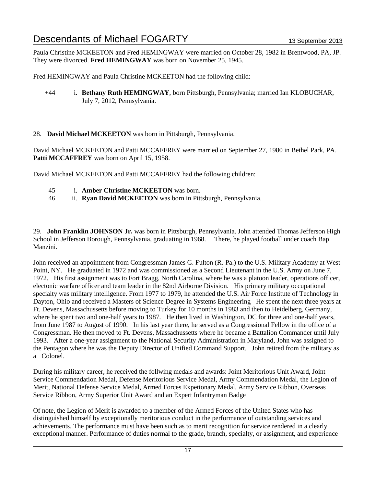Paula Christine MCKEETON and Fred HEMINGWAY were married on October 28, 1982 in Brentwood, PA, JP. They were divorced. **Fred HEMINGWAY** was born on November 25, 1945.

Fred HEMINGWAY and Paula Christine MCKEETON had the following child:

- +44 i. **Bethany Ruth HEMINGWAY**, born Pittsburgh, Pennsylvania; married Ian KLOBUCHAR, July 7, 2012, Pennsylvania.
- 28. **David Michael MCKEETON** was born in Pittsburgh, Pennsylvania.

David Michael MCKEETON and Patti MCCAFFREY were married on September 27, 1980 in Bethel Park, PA. Patti MCCAFFREY was born on April 15, 1958.

David Michael MCKEETON and Patti MCCAFFREY had the following children:

- 45 i. **Amber Christine MCKEETON** was born.
- 46 ii. **Ryan David MCKEETON** was born in Pittsburgh, Pennsylvania.

29. **John Franklin JOHNSON Jr.** was born in Pittsburgh, Pennsylvania. John attended Thomas Jefferson High School in Jefferson Borough, Pennsylvania, graduating in 1968. There, he played football under coach Bap Manzini.

John received an appointment from Congressman James G. Fulton (R.-Pa.) to the U.S. Military Academy at West Point, NY. He graduated in 1972 and was commissioned as a Second Lieutenant in the U.S. Army on June 7, 1972. His first assignment was to Fort Bragg, North Carolina, where he was a platoon leader, operations officer, electonic warfare officer and team leader in the 82nd Airborne Division. His primary military occupational specialty was military intelligence. From 1977 to 1979, he attended the U.S. Air Force Institute of Technology in Dayton, Ohio and received a Masters of Science Degree in Systems Engineering He spent the next three years at Ft. Devens, Massachussetts before moving to Turkey for 10 months in 1983 and then to Heidelberg, Germany, where he spent two and one-half years to 1987. He then lived in Washington, DC for three and one-half years, from June 1987 to August of 1990. In his last year there, he served as a Congressional Fellow in the office of a Congressman. He then moved to Ft. Devens, Massachussetts where he became a Battalion Commander until July 1993. After a one-year assignment to the National Security Administration in Maryland, John was assigned to the Pentagon where he was the Deputy Director of Unified Command Support. John retired from the military as a Colonel.

During his military career, he received the follwing medals and awards: Joint Meritorious Unit Award, Joint Service Commendation Medal, Defense Meritorious Service Medal, Army Commendation Medal, the Legion of Merit, National Defense Service Medal, Armed Forces Expetionary Medal, Army Service Ribbon, Overseas Service Ribbon, Army Superior Unit Award and an Expert Infantryman Badge

Of note, the Legion of Merit is awarded to a member of the Armed Forces of the United States who has distinguished himself by exceptionally meritorious conduct in the performance of outstanding services and achievements. The performance must have been such as to merit recognition for service rendered in a clearly exceptional manner. Performance of duties normal to the grade, branch, specialty, or assignment, and experience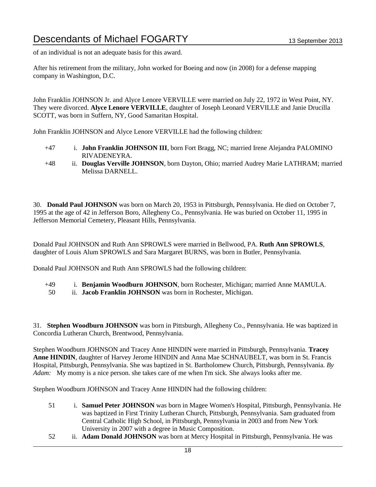of an individual is not an adequate basis for this award.

After his retirement from the military, John worked for Boeing and now (in 2008) for a defense mapping company in Washington, D.C.

John Franklin JOHNSON Jr. and Alyce Lenore VERVILLE were married on July 22, 1972 in West Point, NY. They were divorced. **Alyce Lenore VERVILLE**, daughter of Joseph Leonard VERVILLE and Janie Drucilla SCOTT, was born in Suffern, NY, Good Samaritan Hospital.

John Franklin JOHNSON and Alyce Lenore VERVILLE had the following children:

- +47 i. **John Franklin JOHNSON III**, born Fort Bragg, NC; married Irene Alejandra PALOMINO RIVADENEYRA.
- +48 ii. **Douglas Verville JOHNSON**, born Dayton, Ohio; married Audrey Marie LATHRAM; married Melissa DARNELL.

30. **Donald Paul JOHNSON** was born on March 20, 1953 in Pittsburgh, Pennsylvania. He died on October 7, 1995 at the age of 42 in Jefferson Boro, Allegheny Co., Pennsylvania. He was buried on October 11, 1995 in Jefferson Memorial Cemetery, Pleasant Hills, Pennsylvania.

Donald Paul JOHNSON and Ruth Ann SPROWLS were married in Bellwood, PA. **Ruth Ann SPROWLS**, daughter of Louis Alum SPROWLS and Sara Margaret BURNS, was born in Butler, Pennsylvania.

Donald Paul JOHNSON and Ruth Ann SPROWLS had the following children:

- +49 i. **Benjamin Woodburn JOHNSON**, born Rochester, Michigan; married Anne MAMULA.
- 50 ii. **Jacob Franklin JOHNSON** was born in Rochester, Michigan.

31. **Stephen Woodburn JOHNSON** was born in Pittsburgh, Allegheny Co., Pennsylvania. He was baptized in Concordia Lutheran Church, Brentwood, Pennsylvania.

Stephen Woodburn JOHNSON and Tracey Anne HINDIN were married in Pittsburgh, Pennsylvania. **Tracey Anne HINDIN**, daughter of Harvey Jerome HINDIN and Anna Mae SCHNAUBELT, was born in St. Francis Hospital, Pittsburgh, Pennsylvania. She was baptized in St. Bartholomew Church, Pittsburgh, Pennsylvania. *By Adam:* My momy is a nice person. she takes care of me when I'm sick. She always looks after me.

Stephen Woodburn JOHNSON and Tracey Anne HINDIN had the following children:

- 51 i. **Samuel Peter JOHNSON** was born in Magee Women's Hospital, Pittsburgh, Pennsylvania. He was baptized in First Trinity Lutheran Church, Pittsburgh, Pennsylvania. Sam graduated from Central Catholic High School, in Pittsburgh, Pennsylvania in 2003 and from New York University in 2007 with a degree in Music Composition.
- 52 ii. **Adam Donald JOHNSON** was born at Mercy Hospital in Pittsburgh, Pennsylvania. He was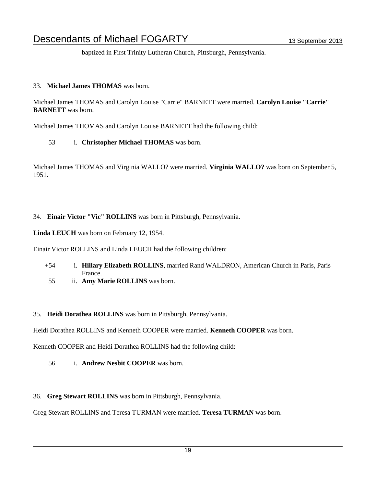baptized in First Trinity Lutheran Church, Pittsburgh, Pennsylvania.

#### 33. **Michael James THOMAS** was born.

Michael James THOMAS and Carolyn Louise "Carrie" BARNETT were married. **Carolyn Louise "Carrie" BARNETT** was born.

Michael James THOMAS and Carolyn Louise BARNETT had the following child:

53 i. **Christopher Michael THOMAS** was born.

Michael James THOMAS and Virginia WALLO? were married. **Virginia WALLO?** was born on September 5, 1951.

#### 34. **Einair Victor "Vic" ROLLINS** was born in Pittsburgh, Pennsylvania.

**Linda LEUCH** was born on February 12, 1954.

Einair Victor ROLLINS and Linda LEUCH had the following children:

- +54 i. **Hillary Elizabeth ROLLINS**, married Rand WALDRON, American Church in Paris, Paris France.
- 55 ii. **Amy Marie ROLLINS** was born.

35. **Heidi Dorathea ROLLINS** was born in Pittsburgh, Pennsylvania.

Heidi Dorathea ROLLINS and Kenneth COOPER were married. **Kenneth COOPER** was born.

Kenneth COOPER and Heidi Dorathea ROLLINS had the following child:

- 56 i. **Andrew Nesbit COOPER** was born.
- 36. **Greg Stewart ROLLINS** was born in Pittsburgh, Pennsylvania.

Greg Stewart ROLLINS and Teresa TURMAN were married. **Teresa TURMAN** was born.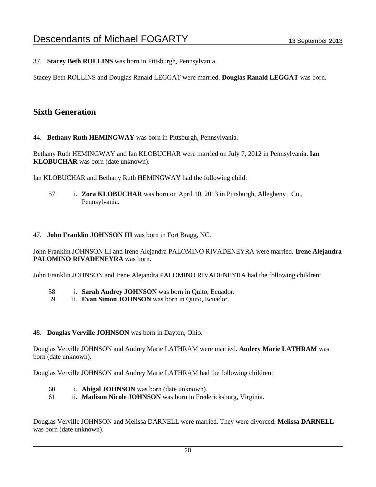37. **Stacey Beth ROLLINS** was born in Pittsburgh, Pennsylvania.

Stacey Beth ROLLINS and Douglas Ranald LEGGAT were married. **Douglas Ranald LEGGAT** was born.

### **Sixth Generation**

44. **Bethany Ruth HEMINGWAY** was born in Pittsburgh, Pennsylvania.

Bethany Ruth HEMINGWAY and Ian KLOBUCHAR were married on July 7, 2012 in Pennsylvania. **Ian KLOBUCHAR** was born (date unknown).

Ian KLOBUCHAR and Bethany Ruth HEMINGWAY had the following child:

57 i. **Zora KLOBUCHAR** was born on April 10, 2013 in Pittsburgh, Allegheny Co., Pennsylvania.

#### 47. **John Franklin JOHNSON III** was born in Fort Bragg, NC.

John Franklin JOHNSON III and Irene Alejandra PALOMINO RIVADENEYRA were married. **Irene Alejandra PALOMINO RIVADENEYRA** was born.

John Franklin JOHNSON and Irene Alejandra PALOMINO RIVADENEYRA had the following children:

- 58 i. **Sarah Audrey JOHNSON** was born in Quito, Ecuador.
- 59 ii. **Evan Simon JOHNSON** was born in Quito, Ecuador.

#### 48. **Douglas Verville JOHNSON** was born in Dayton, Ohio.

Douglas Verville JOHNSON and Audrey Marie LATHRAM were married. **Audrey Marie LATHRAM** was born (date unknown).

Douglas Verville JOHNSON and Audrey Marie LATHRAM had the following children:

- 60 i. **Abigal JOHNSON** was born (date unknown).
- 61 ii. **Madison Nicole JOHNSON** was born in Fredericksburg, Virginia.

Douglas Verville JOHNSON and Melissa DARNELL were married. They were divorced. **Melissa DARNELL** was born (date unknown).